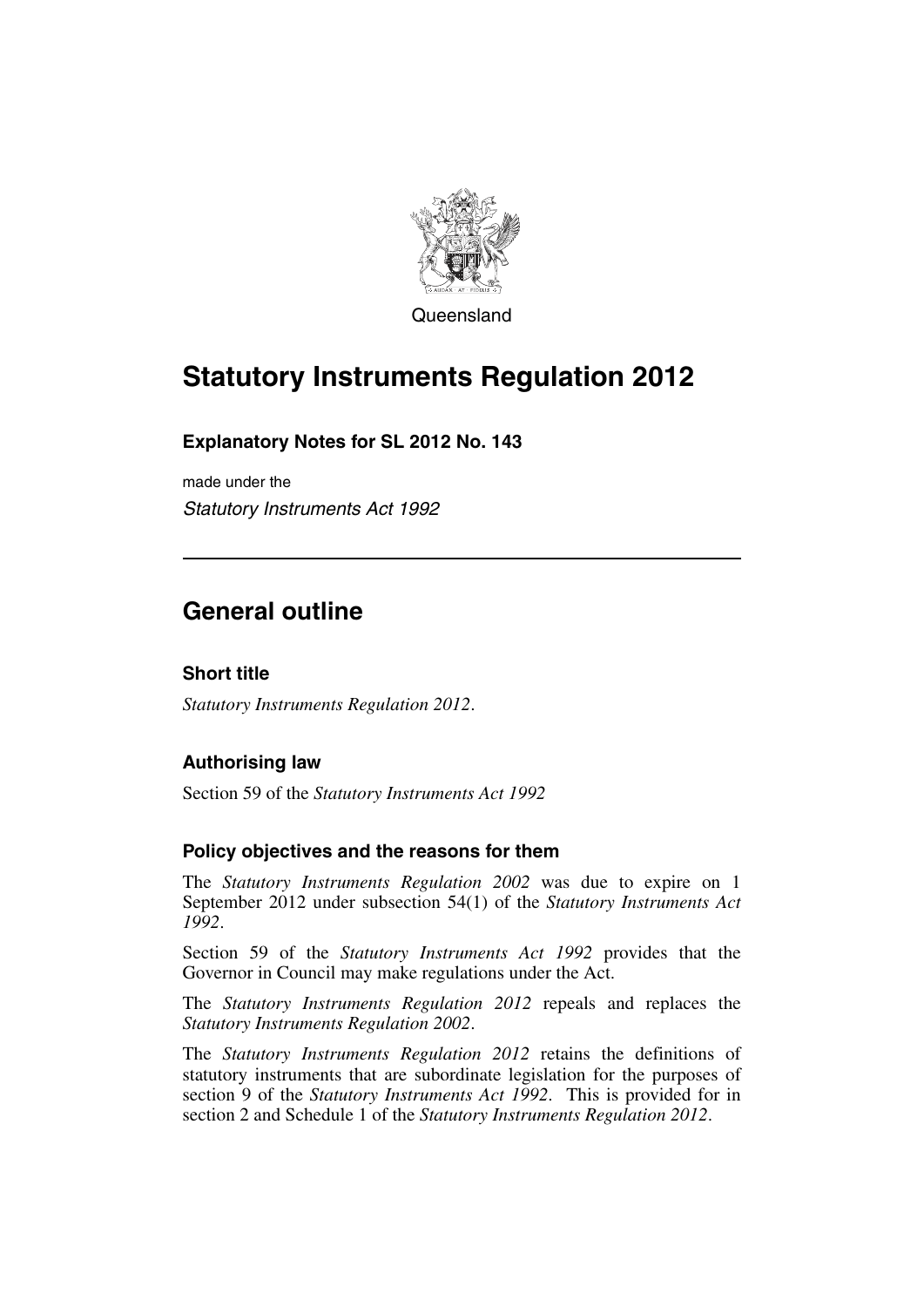

Queensland

# **Statutory Instruments Regulation 2012**

### **Explanatory Notes for SL 2012 No. 143**

made under the *Statutory Instruments Act 1992*

## **General outline**

#### **Short title**

*Statutory Instruments Regulation 2012*.

#### **Authorising law**

Section 59 of the *Statutory Instruments Act 1992*

#### **Policy objectives and the reasons for them**

The *Statutory Instruments Regulation 2002* was due to expire on 1 September 2012 under subsection 54(1) of the *Statutory Instruments Act 1992*.

Section 59 of the *Statutory Instruments Act 1992* provides that the Governor in Council may make regulations under the Act.

The *Statutory Instruments Regulation 2012* repeals and replaces the *Statutory Instruments Regulation 2002*.

The *Statutory Instruments Regulation 2012* retains the definitions of statutory instruments that are subordinate legislation for the purposes of section 9 of the *Statutory Instruments Act 1992*. This is provided for in section 2 and Schedule 1 of the *Statutory Instruments Regulation 2012*.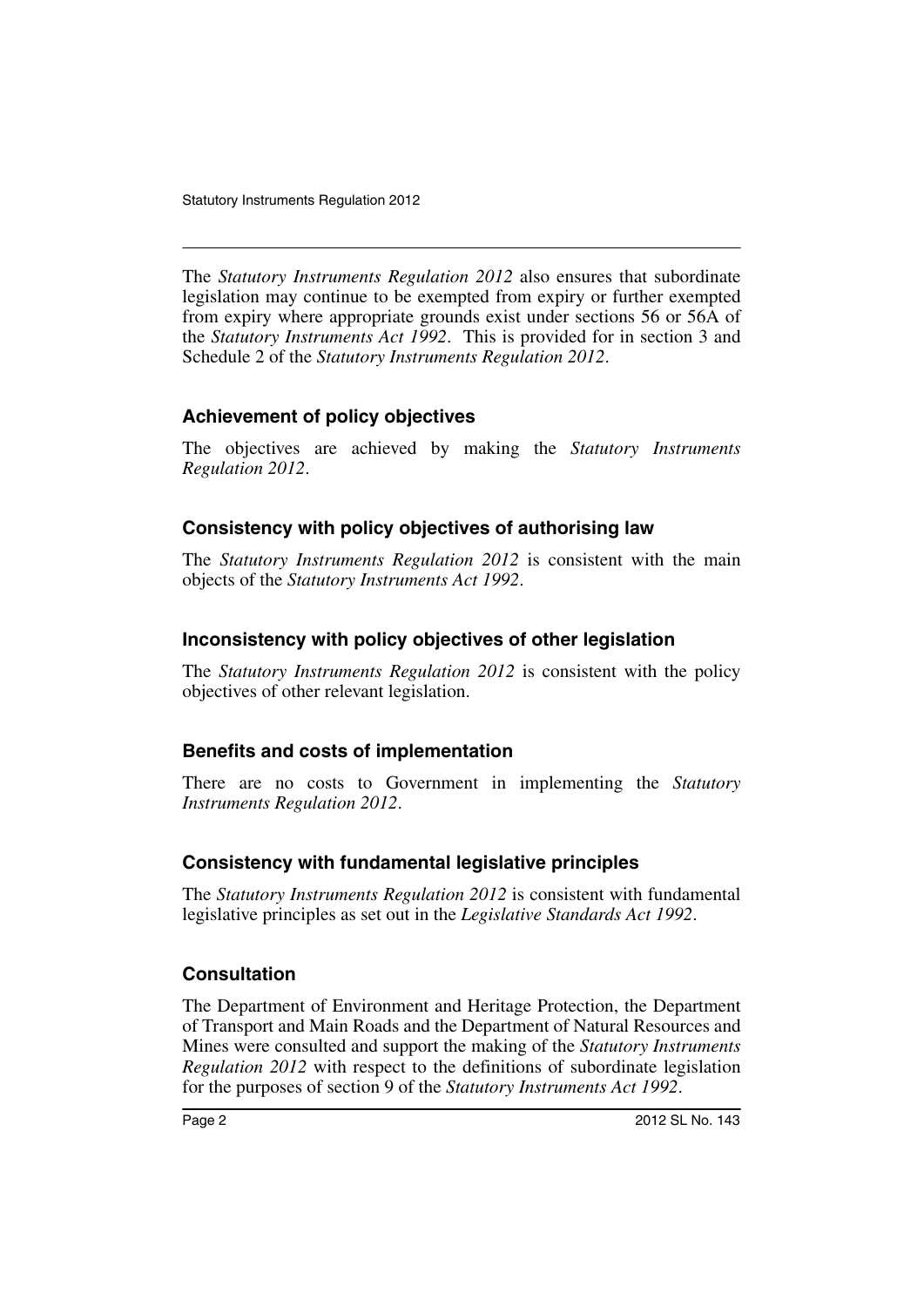The *Statutory Instruments Regulation 2012* also ensures that subordinate legislation may continue to be exempted from expiry or further exempted from expiry where appropriate grounds exist under sections 56 or 56A of the *Statutory Instruments Act 1992*. This is provided for in section 3 and Schedule 2 of the *Statutory Instruments Regulation 2012*.

#### **Achievement of policy objectives**

The objectives are achieved by making the *Statutory Instruments Regulation 2012*.

#### **Consistency with policy objectives of authorising law**

The *Statutory Instruments Regulation 2012* is consistent with the main objects of the *Statutory Instruments Act 1992*.

#### **Inconsistency with policy objectives of other legislation**

The *Statutory Instruments Regulation 2012* is consistent with the policy objectives of other relevant legislation.

#### **Benefits and costs of implementation**

There are no costs to Government in implementing the *Statutory Instruments Regulation 2012*.

#### **Consistency with fundamental legislative principles**

The *Statutory Instruments Regulation 2012* is consistent with fundamental legislative principles as set out in the *Legislative Standards Act 1992*.

#### **Consultation**

The Department of Environment and Heritage Protection, the Department of Transport and Main Roads and the Department of Natural Resources and Mines were consulted and support the making of the *Statutory Instruments Regulation 2012* with respect to the definitions of subordinate legislation for the purposes of section 9 of the *Statutory Instruments Act 1992*.